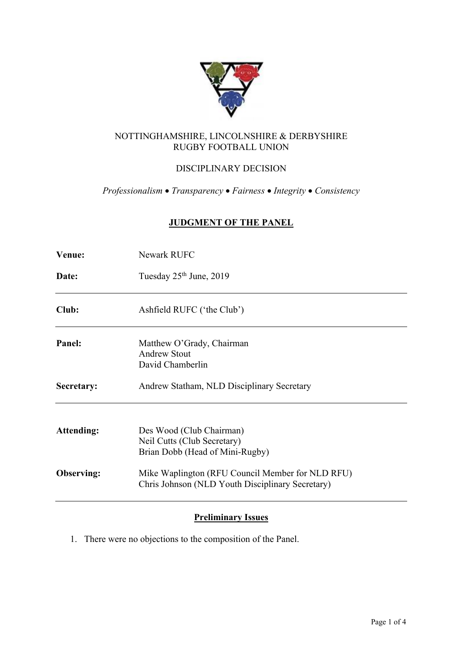

## NOTTINGHAMSHIRE, LINCOLNSHIRE & DERBYSHIRE RUGBY FOOTBALL UNION

# DISCIPLINARY DECISION

*Professionalism* • *Transparency* • *Fairness* • *Integrity* • *Consistency*

## **JUDGMENT OF THE PANEL**

| <b>Venue:</b> | <b>Newark RUFC</b>                                                                                   |  |  |  |
|---------------|------------------------------------------------------------------------------------------------------|--|--|--|
| Date:         | Tuesday 25 <sup>th</sup> June, 2019                                                                  |  |  |  |
| Club:         | Ashfield RUFC ('the Club')                                                                           |  |  |  |
| Panel:        | Matthew O'Grady, Chairman<br><b>Andrew Stout</b><br>David Chamberlin                                 |  |  |  |
| Secretary:    | Andrew Statham, NLD Disciplinary Secretary                                                           |  |  |  |
| Attending:    | Des Wood (Club Chairman)<br>Neil Cutts (Club Secretary)<br>Brian Dobb (Head of Mini-Rugby)           |  |  |  |
| Observing:    | Mike Waplington (RFU Council Member for NLD RFU)<br>Chris Johnson (NLD Youth Disciplinary Secretary) |  |  |  |

## **Preliminary Issues**

1. There were no objections to the composition of the Panel.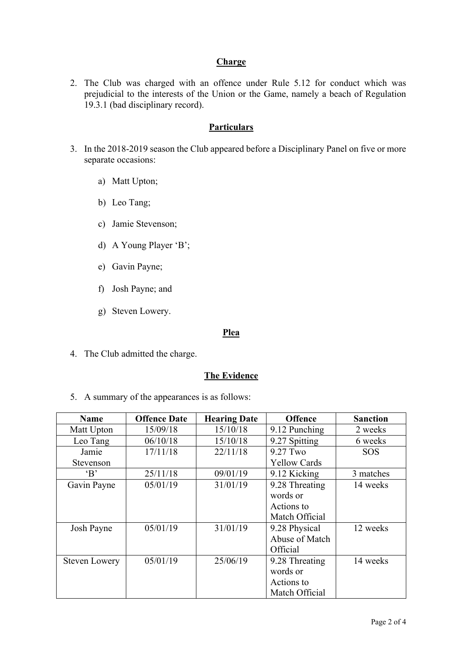## **Charge**

2. The Club was charged with an offence under Rule 5.12 for conduct which was prejudicial to the interests of the Union or the Game, namely a beach of Regulation 19.3.1 (bad disciplinary record).

### **Particulars**

- 3. In the 2018-2019 season the Club appeared before a Disciplinary Panel on five or more separate occasions:
	- a) Matt Upton;
	- b) Leo Tang;
	- c) Jamie Stevenson;
	- d) A Young Player 'B';
	- e) Gavin Payne;
	- f) Josh Payne; and
	- g) Steven Lowery.

#### **Plea**

4. The Club admitted the charge.

#### **The Evidence**

5. A summary of the appearances is as follows:

| <b>Name</b>          | <b>Offence Date</b> | <b>Hearing Date</b> | <b>Offence</b>      | <b>Sanction</b> |
|----------------------|---------------------|---------------------|---------------------|-----------------|
| Matt Upton           | 15/09/18            | 15/10/18            | 9.12 Punching       | 2 weeks         |
| Leo Tang             | 06/10/18            | 15/10/18            | 9.27 Spitting       | 6 weeks         |
| Jamie                | 17/11/18            | 22/11/18            | 9.27 Two            | <b>SOS</b>      |
| Stevenson            |                     |                     | <b>Yellow Cards</b> |                 |
| $\cdot$ B            | 25/11/18            | 09/01/19            | 9.12 Kicking        | 3 matches       |
| Gavin Payne          | 05/01/19            | 31/01/19            | 9.28 Threating      | 14 weeks        |
|                      |                     |                     | words or            |                 |
|                      |                     |                     | Actions to          |                 |
|                      |                     |                     | Match Official      |                 |
| Josh Payne           | 05/01/19            | 31/01/19            | 9.28 Physical       | 12 weeks        |
|                      |                     |                     | Abuse of Match      |                 |
|                      |                     |                     | Official            |                 |
| <b>Steven Lowery</b> | 05/01/19            | 25/06/19            | 9.28 Threating      | 14 weeks        |
|                      |                     |                     | words or            |                 |
|                      |                     |                     | Actions to          |                 |
|                      |                     |                     | Match Official      |                 |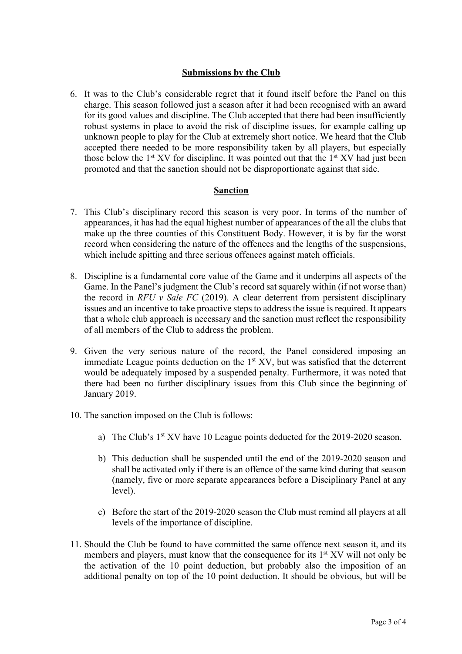### **Submissions by the Club**

6. It was to the Club's considerable regret that it found itself before the Panel on this charge. This season followed just a season after it had been recognised with an award for its good values and discipline. The Club accepted that there had been insufficiently robust systems in place to avoid the risk of discipline issues, for example calling up unknown people to play for the Club at extremely short notice. We heard that the Club accepted there needed to be more responsibility taken by all players, but especially those below the  $1<sup>st</sup> XV$  for discipline. It was pointed out that the  $1<sup>st</sup> XV$  had just been promoted and that the sanction should not be disproportionate against that side.

### **Sanction**

- 7. This Club's disciplinary record this season is very poor. In terms of the number of appearances, it has had the equal highest number of appearances of the all the clubs that make up the three counties of this Constituent Body. However, it is by far the worst record when considering the nature of the offences and the lengths of the suspensions, which include spitting and three serious offences against match officials.
- 8. Discipline is a fundamental core value of the Game and it underpins all aspects of the Game. In the Panel's judgment the Club's record sat squarely within (if not worse than) the record in *RFU v Sale FC* (2019). A clear deterrent from persistent disciplinary issues and an incentive to take proactive steps to address the issue is required. It appears that a whole club approach is necessary and the sanction must reflect the responsibility of all members of the Club to address the problem.
- 9. Given the very serious nature of the record, the Panel considered imposing an immediate League points deduction on the  $1<sup>st</sup> XY$ , but was satisfied that the deterrent would be adequately imposed by a suspended penalty. Furthermore, it was noted that there had been no further disciplinary issues from this Club since the beginning of January 2019.
- 10. The sanction imposed on the Club is follows:
	- a) The Club's 1<sup>st</sup> XV have 10 League points deducted for the 2019-2020 season.
	- b) This deduction shall be suspended until the end of the 2019-2020 season and shall be activated only if there is an offence of the same kind during that season (namely, five or more separate appearances before a Disciplinary Panel at any level).
	- c) Before the start of the 2019-2020 season the Club must remind all players at all levels of the importance of discipline.
- 11. Should the Club be found to have committed the same offence next season it, and its members and players, must know that the consequence for its  $1<sup>st</sup> XY$  will not only be the activation of the 10 point deduction, but probably also the imposition of an additional penalty on top of the 10 point deduction. It should be obvious, but will be